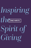# *Inspiring*

 $t$  *ne* ONE WRITE

*Spirit of Giving*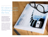

A vast improvement over traditional boxed sets, One Write Envelope Books are more convenient, less expensive, and beloved by churches the world over.

At One Write, we understand that every congregation is one body made up of a variety of personality types, and that when you offer choice in the way your members can give, it makes it easier for ALL of them to give consistently. Our Envelope Books are designed to appeal to all sorts of people because when you recognize each individual's giving preference, it's a whole lot easier to "push the envelope."



**3**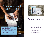### Where you need it when you need it.

#### Perfect for Procrastinators and the Incredibly Busy

It happens to the best of us. For whatever reason, we don't remember our offering until we're minutes from the church... or already there. At less than half an inch thick\*, the One Write Envelope Book can easily be stored in a glove compartment, bible case or handbag, so it's always immediately at hand.

#### ⊁

The One Write Envelope Book's small size is also a great benefit for your church office; it doesn't take much room to store and, because it meets postal requirements, it's easily mailed to home-bound or outof-town members.



### *Keeps you on track and on budget.*

Our Envelope Book is beloved by Organizers, Accountants & Planners

Because each envelope is attached to a running-total stub that allows them to record the date, their balance, and their offering amount, individuals who like to plan will love the way the Envelope Book keeps all their information organized. They can fill out their entire book at the beginning of the year to keep them on track, and have an accurate annual giving record in one convenient place.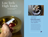## Low Tech High Touch

Because there's something to be said for tradition.

Tithing online has become a modern-day way to give, but many church members still prefer the classic envelope in the tray. One Write Envelope Books give Traditionalists an improved way to give the way they like, with old-fashioned envelopes presented in a contemporary, "perfect-bound" format.





#### **ALL TOGETHER NOW.**  *Let's say "HALLELUJAH!" for envelopes that stay together.*

Loose envelopes in boxes have a tendency to fall out and become disorganized. The out-of-sequence envelopes drive tidy people crazy, frustrate the not-so-tidy with a whole new level of not-so-tidiness, and sometimes cause people to forget to give altogether. Envelopes that are perfect-bound in date order never get lost or rearranged, which lets everyone breathe a huge sigh of relief.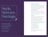## Style. ervice. Saving

#### *GIVING KNOWS NO BOUNDARIES— We can print in any language.*

Call us at 800.268.6070 for more information.

#### **COMPLETE CUSTOMIZATION**

One of the best things about our envelope books is our ability to customize them. From the image on the glossy, full-color cover to the ink color and layout of the envelopes themselves, from the selection of envelope sizes to the number and type of special holiday envelopes included, each book is designed to be specific to your church and members.

#### **EXCEPTIONAL SERVICE**

Whatever look and content you choose, our experienced customer service representatives will be on hand to help you every step of the way. We understand that your congregation is unique, and we go out of our way to ensure that the products you order from us are the perfect fit.

#### **THE BASICS**

The base price for each size of envelope features 53 weekly envelopes, black ink for text, red ink for date and member number, and a black and white cover of your choice. Additional envelopes (holidays, special dates, etc) and ink colors, and imprinted member names will incur additional charges. First-time orders and logo changes are subject to an additional \$24 design charge.

#### **DISCOUNTS FOR FIRST-TIME AND EARLY ORDERS**

- First-time customers receive a 12% discount on their first order
- Returning customers receive:
- 12% off orders placed in January
- 11% off orders placed in February
- 10% off orders placed in March
- *Discount applies to custom-printed Offering Envelope Books, only.*

For detailed design and ordering instructions, as well as a complete price list, please visit our website at www.onewriteco.com.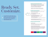## Ready. Set. Customize.

It only takes *five simple steps* to put together your perfect Envelope Book. **For complete design and ordering** instructions, visit our website at **www.onewriteco.com.**

#### **1 DESIGN YOUR ENVELOPE BOOK COVER**

Photo? Landscape? Logo? The choice is yours. We can use your artwork and photography, you can choose one of our many stock covers, or our design team can create a custom look especially for you. See our entire gallery of available covers at: www.onewriteco.com/custom-book-gallery.html

Personalize it further by adding your members' names and addresses to the front cover for only ten cents extra per book.

#### **2 CHOOSE YOUR ENVELOPE SIZE**

The basic One Write Envelope Book features 53 weekly envelopes and comes in three envelope sizes:

**A. FULL-SIZE Offering Envelopes 7" x 3-5/8"** ° Our most popular size

#### **B. FULL-SIZE MAILABLE Offering Envelopes 7" x 3-5/8"**

- ° An interior security screen for privacy
- ° A fold-down flap that enables members to conceal their name and offering amount
- ° A pre-printed mailing address, return address lines, and stamp outline

#### **C. SMALL-SIZE Offering Envelopes 3-5/8" x 3-1/2"**

--------------------------------

° Our most economical option. Checks and currency must be folded to fit

#### **3 DESIGN YOUR WEEKLY ENVELOPE**

#### **A. ADD YOUR LOGO**

We offer custom design layouts with your church's logo. You can submitt your logo when placing your logo.

#### **B. SELECT YOUR ENVELOPE INK COLORS**

Our standard weekly envelope features black ink for text and red ink for both date and member number. However, you can select additional standard ink colors\* for a charge of \$24 per color. If you would like to choose up to three of your own custom colors, we will be happy to provide you with a personalized quote.

*\* Choose from these five standard colors.*

| RFD.    | <b>BLUE</b> | GREEN          | TEAL           | <b>PURPLE</b>  |
|---------|-------------|----------------|----------------|----------------|
| PMS 185 | Reflex      | <b>PMS 347</b> | <b>PMS 320</b> | <b>PMS 259</b> |

 $3 - 1/2$ <sup>"</sup>  $7$ " **3-5/8"**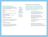#### **ADD SPECIAL OCCASION ENVELOPES 4**

In addition to our standard 53 week envelope books, you may wish to add envelopes that recognize special giving opportunities, including holidays, building funds, and outreach missions. Our Special Envelopes come in four styles to help them stand out.

#### **STANDARD**

Identical to weekly envelope but with special giving opportunity printed on front.

#### **PREMIUM**

Colored bars along bottom edge distinguish from weekly envelopes.

#### **COLOR BORDER WITH CROSS**

Solid-color border along bottom edge and cross illustration distinguish from weekly envelopes.

#### **FULL COLOR**

Customize your own or visit www.onewriteco.com to see our complete full-color selection.

#### **CHOOSE YOUR START DATES & NUMBERING STYLE 5**

We can print your envelopes with any starting date you choose using either:

*CALENDAR DATES (JAN 10, 2018) OR PERPETUAL DATES (JAN 2ND SUNDAY)*

Should you choose to number your books, we can number both the cover and each individual envelope to allow you to reconcile each offering with a specific member. Books can be numbered in consecutive order or you can send us a list of specific numbers to be printed.

## **PREMIUM**

#### **COLOR BORDER WITH CROSS**

#### **FULL COLOR**



#### *ADDITIONAL OFFERINGS*

Our standard Envelope Books are just the beginning. One Write also offers a number of additional items designed to help you fund your missions and ministry. For complete details, pricing, and style choices, visit our website at www.onewriteco.com.

#### **YOUTH OFFERING ENVELOPE BOOKS**

Designed specifically for children, youth envelopes reinforce the concept of giving and reminds young people that they're important members of the church family.

#### **STOCK OFFERING ENVELOPE BOOKS**

Generic books are pre-printed, ready for quick shipment, and are less expensive than customized books. They come in full and small sizes and include:

- ° 53 weekly envelopes
- ° Four special envelopes (Initial offering, Easter, Thanksgiving, Christmas)
- ° Perpetual Dating (JAN 2nd SUNDAY)
- ° Consecutive Numbering
- ° Full-color Cover

#### **STOCK SPECIAL OCCASION ENVELOPES**

Sized to fit into most pew slots, our pre-printed Special Occasion Envelopes hold an unfolded check or bills. See our gallery of available designs at www.onewriteco.com/stock-special-occasion-envelopes.html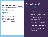#### **LOOSE OFFERING ENVELOPES**

Available in large quantities, and printed without dates or numbers, loose envelopes fit into pew slots and are ideal for visitors, newsletter mailings, bulletins, and special campaigns. Available in three sizes:

° Full Size Envelope/Extended Flap (7" x 3-5/8")

° Cash Envelope/Folded Flap (6-1/4" x 3")

° 6-3/4 Regular Envelope/Folded Flap (6-1/2" x 3-5/8")

#### **PLEDGE & WELCOME CARDS**

Pledge Cards record members' giving commitments. Welcome Cards introduce your church to visitors. We offer a large selection of both.

#### **PAYMENT BOOKS**

Churches aren't the only groups that require regular payments. Our secular Payment Books are a convenient way to manage fees for programs with monthly payment structures, including schools, daycare centers, fitness centers, and dance studios.

Basic books contain 12 Standard-stub or Remittance-stub envelopes, a black-and-white cover, and the name and address of your organization pre-printed on the envelope for mailing. We also offer custom front covers, and three additional spaces for program information, policies, and calendars.

#### *GIVING MAKES UP EVERY ASPECT OF OUR BUSINESS.*

Inspiring the spirit of giving is not only our mission, it's the way we live. We believe in giving in every aspect of our business, whether that means giving our best service to our customers, giving our all to our employees, or regularly giving back to the communities in which we live and work.

> Our One Write Light Fund was created in 2009 to inspire our corporate family to give as they are called. One Write sets aside a portion of its annual profits to be used for charitable contributions, but rather than earmark the money for one specific cause, we leave it to each of our individual employees to choose the recipients they most wish to help. We recognize that we all come from a wide variety of backgrounds and beliefs, and we want all of our employees to choose the groups or individuals that speak to them personally. Each employee is responsible for designating up to \$500 annually to the group or individual of their choosing in order to feel a closer connection to the lives they are impacting.

And because we consider our customers to be part of our spiritual family, we always ask that they make requests when they see a need in their own communities. Each request will be thoughtfully reviewed and gifts will be made based on funds available and the information provided.

#### **WE HAVE A LONG HISTORY OF LISTENING TO CHURCHES.**

We started listening back in the late 1950s when churches told us they wanted a product that made record keeping easier than the carbon copy forms they were using. Using NCR paper to supplant carbon, we created the One Write System, and we still offer our Contribution Report Forms and corresponding window envelopes on our website.